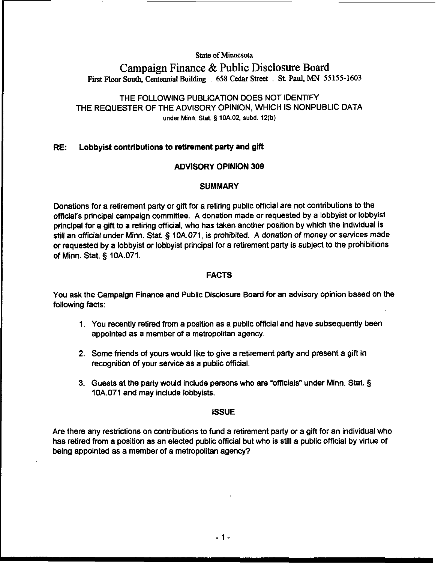#### **State of Minnesota**

# **Campaign Finance** & **Public Disclosure Board First Floor South, Centennial Buildtug** . **658 Cedar Street** . **St. Paul, MN 55155-1603**

# THE FOLLOWING PUBLICATION DOES NOT IDENTIFY THE REQUESTER OF THE ADVISORY OPINION, WHICH IS NONPUBLIC DATA under Minn. Stat. § **IOAOZ, subd. 12(b)**

#### **RE:** Lobbyist contributions to retirement party and gift

#### ADVISORY OPINION 309

#### **SUMMARY**

Donations for a retirement party or gifl for a retiring public official are not contributions to the official's principal campaign committee. A donation made or requested by a lobbyist or lobbyist principal for a gift to a retiring official, who has taken another position by which the individual is still an official under Minn. Stat. **3** 10A.071, is prohibited. A donation of money or services made or requested by a lobbyist or lobbyist principal for a retirement party is subject to the prohibitions of Minn. Stat. **5** 10A.071.

### FACTS

You ask the Campaign Finance and Public Disclosure Board for an advisory opinion based on the following facts:

- 1. You recently retired from a position as a public official and have subsequently been appointed as a member of a metropolitan agency.
- 2. Some friends of yours would like to give a retirement party and present a gift in recognition of your service as a public official.
- 3. Guests at the party would include persons who are "officials" under Minn. Stat. **3**  10A.071 and may include lobbyists.

#### ISSUE

Are there any restrictions on contributions to fund a retirement party or a gifl for an individual who has retired from a position as an elected public official but who is still a public official by virtue of being appointed as a member of a metropolitan agency?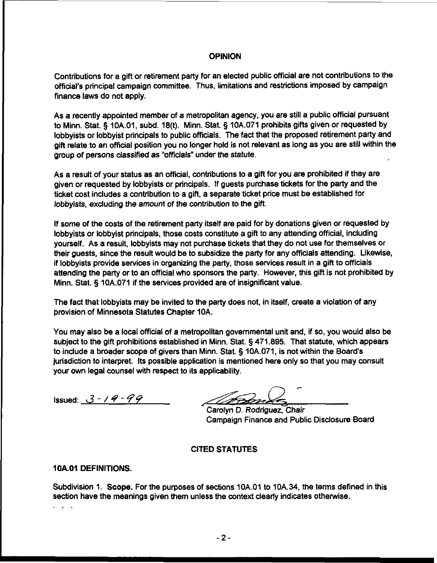### **OPINION**

Contributions for a gift or retirement party for an elected public official are not contributions to the official's principal campaign committee. Thus, limitations and restrictions imposed by campaign finance laws do not apply.

As a recently appointed member of a metropolitan agency, you are still a public official pursuant to Minn. Stat. § 10A.O1, subd. 18(t). Minn. Stat. § 10A.071 prohibits gifts given or requested by lobbyists or lobbyist principals to public officials. The fact that the proposed retirement party and gift relate to an official position you no longer hold is not relevant as long as you are still within the group of persons classified as "officials" under the statute.

As a result of your status as an official, contributions to a gift for you are prohibited if they are given or requested by lobbyists or principals. If guests purchase tickets for the party and the ticket cost includes a contribution to a gift, a separate ticket price must be established for lobbyists, excluding the amount of the contribution to the gift.

If some of the costs of the retirement party itself are paid for by donations given or requested by lobbyists or lobbyist principals, those costs constitute a gift to any attending official, including yourself. As a result, lobbyists may not purchase tickets that they do not use for themselves or their guests, since the result would be to subsidize the party for any officials attending. Likewise, if lobbyists provide services in organizing the party, those services result in a gift to officials attending the party or to an official who sponsors the party. However, this gift is not prohibited by Minn. Stat. § 10A.071 if the services provided are of insignificant value.

The fact that lobbyists may be invited to the party does not, in itself, create a violation of any provision of Minnesota Statutes Chapter 10A.

You may also be a local official of a metropolitan governmental unit and, if so, you would also be subject to the gift prohibitions established in Minn. Stat. § 471.895. That statute, which appears to include a broader scope of givers than Minn. Stat. § lOA.071, is not within the Board's jurisdiction to interpret. Its possible application is mentioned here only so that you may consult your own legal counsel with respect to its applicability.

Issued: **3** - / **4** - *49* 

**P**  // 1971221

Carolyn D. Rodriguez, Chair Campaign Finance and Public Disclosure Board

# CITED STATUTES

# 10A.O1 DEFINITIONS.

Subdivision 1. Scope. For the purposes of sections 10A.01 to 10A.34, the terms defined in this section have the meanings given them unless the context clearly indicates otherwise.